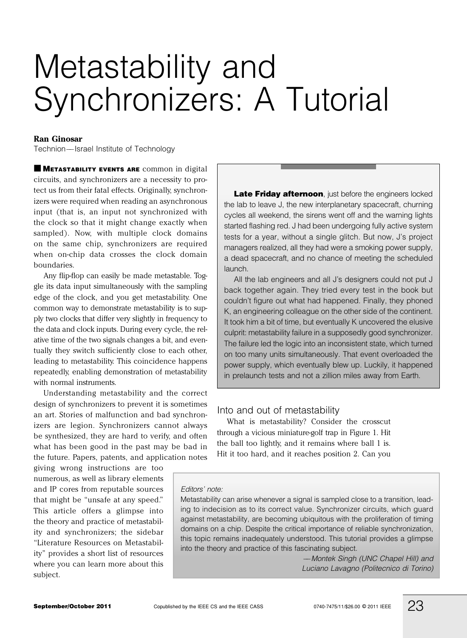# Metastability and Synchronizers: A Tutorial

### Ran Ginosar

Technion—Israel Institute of Technology

**METASTABILITY EVENTS ARE** common in digital circuits, and synchronizers are a necessity to protect us from their fatal effects. Originally, synchronizers were required when reading an asynchronous input (that is, an input not synchronized with the clock so that it might change exactly when sampled). Now, with multiple clock domains on the same chip, synchronizers are required when on-chip data crosses the clock domain boundaries.

Any flip-flop can easily be made metastable. Toggle its data input simultaneously with the sampling edge of the clock, and you get metastability. One common way to demonstrate metastability is to supply two clocks that differ very slightly in frequency to the data and clock inputs. During every cycle, the relative time of the two signals changes a bit, and eventually they switch sufficiently close to each other, leading to metastability. This coincidence happens repeatedly, enabling demonstration of metastability with normal instruments.

Understanding metastability and the correct design of synchronizers to prevent it is sometimes an art. Stories of malfunction and bad synchronizers are legion. Synchronizers cannot always be synthesized, they are hard to verify, and often what has been good in the past may be bad in the future. Papers, patents, and application notes

giving wrong instructions are too numerous, as well as library elements and IP cores from reputable sources that might be ''unsafe at any speed.'' This article offers a glimpse into the theory and practice of metastability and synchronizers; the sidebar ''Literature Resources on Metastability'' provides a short list of resources where you can learn more about this subject.

Late Friday afternoon, just before the engineers locked the lab to leave J, the new interplanetary spacecraft, churning cycles all weekend, the sirens went off and the warning lights started flashing red. J had been undergoing fully active system tests for a year, without a single glitch. But now, J's project managers realized, all they had were a smoking power supply, a dead spacecraft, and no chance of meeting the scheduled launch.

All the lab engineers and all J's designers could not put J back together again. They tried every test in the book but couldn't figure out what had happened. Finally, they phoned K, an engineering colleague on the other side of the continent. It took him a bit of time, but eventually K uncovered the elusive culprit: metastability failure in a supposedly good synchronizer. The failure led the logic into an inconsistent state, which turned on too many units simultaneously. That event overloaded the power supply, which eventually blew up. Luckily, it happened in prelaunch tests and not a zillion miles away from Earth.

## Into and out of metastability

What is metastability? Consider the crosscut through a vicious miniature-golf trap in Figure 1. Hit the ball too lightly, and it remains where ball 1 is. Hit it too hard, and it reaches position 2. Can you

#### Editors' note:

Metastability can arise whenever a signal is sampled close to a transition, leading to indecision as to its correct value. Synchronizer circuits, which guard against metastability, are becoming ubiquitous with the proliferation of timing domains on a chip. Despite the critical importance of reliable synchronization, this topic remains inadequately understood. This tutorial provides a glimpse into the theory and practice of this fascinating subject.

> --Montek Singh (UNC Chapel Hill) and Luciano Lavagno (Politecnico di Torino)

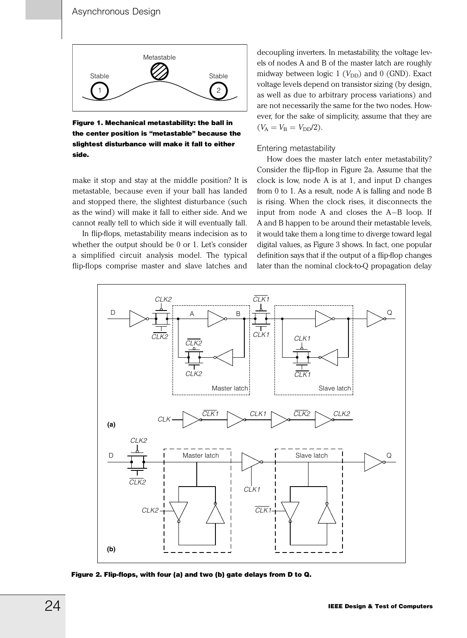

Figure 1. Mechanical metastability: the ball in the center position is "metastable" because the slightest disturbance will make it fall to either side.

make it stop and stay at the middle position? It is metastable, because even if your ball has landed and stopped there, the slightest disturbance (such as the wind) will make it fall to either side. And we cannot really tell to which side it will eventually fall.

In flip-flops, metastability means indecision as to whether the output should be 0 or 1. Let's consider a simplified circuit analysis model. The typical flip-flops comprise master and slave latches and decoupling inverters. In metastability, the voltage levels of nodes A and B of the master latch are roughly midway between logic 1 ( $V_{\text{DD}}$ ) and 0 (GND). Exact voltage levels depend on transistor sizing (by design, as well as due to arbitrary process variations) and are not necessarily the same for the two nodes. However, for the sake of simplicity, assume that they are  $(V_A = V_B = V_{DD}/2).$ 

#### Entering metastability

How does the master latch enter metastability? Consider the flip-flop in Figure 2a. Assume that the clock is low, node A is at 1, and input D changes from 0 to 1. As a result, node A is falling and node B is rising. When the clock rises, it disconnects the input from node A and closes the A-B loop. If A and B happen to be around their metastable levels, it would take them a long time to diverge toward legal digital values, as Figure 3 shows. In fact, one popular definition says that if the output of a flip-flop changes later than the nominal clock-to-Q propagation delay



Figure 2. Flip-flops, with four (a) and two (b) gate delays from D to Q.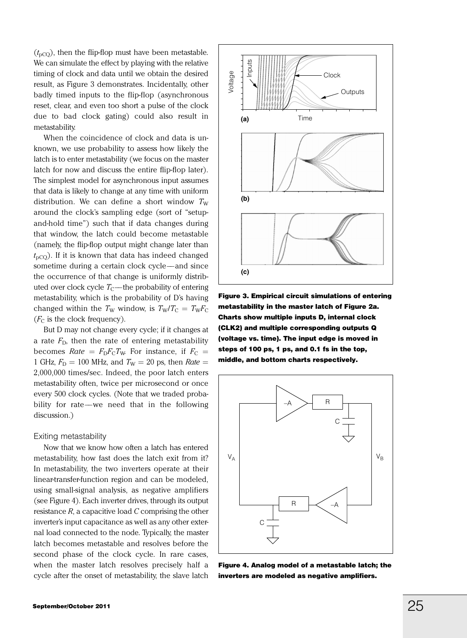$(t_{\text{DCO}})$ , then the flip-flop must have been metastable. We can simulate the effect by playing with the relative timing of clock and data until we obtain the desired result, as Figure 3 demonstrates. Incidentally, other badly timed inputs to the flip-flop (asynchronous reset, clear, and even too short a pulse of the clock due to bad clock gating) could also result in metastability.

When the coincidence of clock and data is unknown, we use probability to assess how likely the latch is to enter metastability (we focus on the master latch for now and discuss the entire flip-flop later). The simplest model for asynchronous input assumes that data is likely to change at any time with uniform distribution. We can define a short window  $T_w$ around the clock's sampling edge (sort of ''setupand-hold time'') such that if data changes during that window, the latch could become metastable (namely, the flip-flop output might change later than  $t_{\text{pCO}}$ ). If it is known that data has indeed changed sometime during a certain clock cycle—and since the occurrence of that change is uniformly distributed over clock cycle  $T_{\rm C}$ —the probability of entering metastability, which is the probability of D's having changed within the  $T_W$  window, is  $T_W/T_C = T_WF_C$  $(F_C$  is the clock frequency).

But D may not change every cycle; if it changes at a rate  $F<sub>D</sub>$ , then the rate of entering metastability becomes  $Rate = F_DF_CT_W$  For instance, if  $F_C$  = 1 GHz,  $F_D = 100$  MHz, and  $T_W = 20$  ps, then Rate = 2,000,000 times/sec. Indeed, the poor latch enters metastability often, twice per microsecond or once every 500 clock cycles. (Note that we traded probability for rate—we need that in the following discussion.)

#### Exiting metastability

Now that we know how often a latch has entered metastability, how fast does the latch exit from it? In metastability, the two inverters operate at their linear-transfer-function region and can be modeled, using small-signal analysis, as negative amplifiers (see Figure 4). Each inverter drives, through its output resistance  $R$ , a capacitive load  $C$  comprising the other inverter's input capacitance as well as any other external load connected to the node. Typically, the master latch becomes metastable and resolves before the second phase of the clock cycle. In rare cases, when the master latch resolves precisely half a cycle after the onset of metastability, the slave latch



Figure 3. Empirical circuit simulations of entering metastability in the master latch of Figure 2a. Charts show multiple inputs D, internal clock (CLK2) and multiple corresponding outputs Q (voltage vs. time). The input edge is moved in steps of 100 ps, 1 ps, and 0.1 fs in the top, middle, and bottom charts respectively.



Figure 4. Analog model of a metastable latch; the inverters are modeled as negative amplifiers.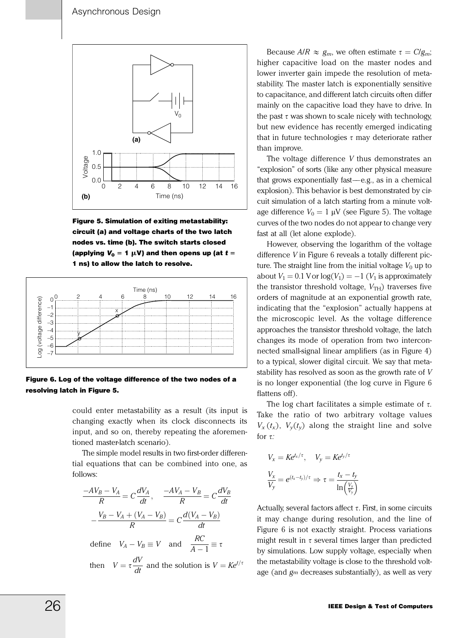

Figure 5. Simulation of exiting metastability: circuit (a) and voltage charts of the two latch nodes vs. time (b). The switch starts closed (applying  $V_0 = 1 \mu V$ ) and then opens up (at  $t =$ 1 ns) to allow the latch to resolve.



Figure 6. Log of the voltage difference of the two nodes of a resolving latch in Figure 5.

could enter metastability as a result (its input is changing exactly when its clock disconnects its input, and so on, thereby repeating the aforementioned master-latch scenario).

The simple model results in two first-order differential equations that can be combined into one, as follows:

$$
\frac{-AV_B - V_A}{R} = C \frac{dV_A}{dt}, \quad \frac{-AV_A - V_B}{R} = C \frac{dV_B}{dt}
$$

$$
-\frac{V_B - V_A + (V_A - V_B)}{R} = C \frac{d(V_A - V_B)}{dt}
$$
define  $V_A - V_B \equiv V$  and  $\frac{RC}{A-1} \equiv \tau$  then  $V = \tau \frac{dV}{dt}$  and the solution is  $V = Ke^{t/\tau}$ 

Because  $A/R \approx g_m$ , we often estimate  $\tau = C/g_m$ ; higher capacitive load on the master nodes and lower inverter gain impede the resolution of metastability. The master latch is exponentially sensitive to capacitance, and different latch circuits often differ mainly on the capacitive load they have to drive. In the past  $\tau$  was shown to scale nicely with technology, but new evidence has recently emerged indicating that in future technologies  $\tau$  may deteriorate rather than improve.

The voltage difference  $V$  thus demonstrates an "explosion" of sorts (like any other physical measure that grows exponentially fast—e.g., as in a chemical explosion). This behavior is best demonstrated by circuit simulation of a latch starting from a minute voltage difference  $V_0 = 1 \mu V$  (see Figure 5). The voltage curves of the two nodes do not appear to change very fast at all (let alone explode).

However, observing the logarithm of the voltage difference V in Figure 6 reveals a totally different picture. The straight line from the initial voltage  $V_0$  up to about  $V_1 = 0.1$  V or  $log(V_1) = -1$  ( $V_1$  is approximately the transistor threshold voltage,  $V_{TH}$ ) traverses five orders of magnitude at an exponential growth rate, indicating that the "explosion" actually happens at the microscopic level. As the voltage difference approaches the transistor threshold voltage, the latch changes its mode of operation from two interconnected small-signal linear amplifiers (as in Figure 4) to a typical, slower digital circuit. We say that metastability has resolved as soon as the growth rate of V is no longer exponential (the log curve in Figure 6 flattens off).

The log chart facilitates a simple estimate of  $\tau$ . Take the ratio of two arbitrary voltage values  $V_x(t_x)$ ,  $V_y(t_y)$  along the straight line and solve for  $\tau$ :

$$
V_x = Ke^{t_x/\tau}, \quad V_y = Ke^{t_y/\tau}
$$

$$
\frac{V_x}{V_y} = e^{(t_x - t_y)/\tau} \Rightarrow \tau = \frac{t_x - t_y}{\ln\left(\frac{V_x}{V_y}\right)}
$$

Actually, several factors affect  $\tau$ . First, in some circuits it may change during resolution, and the line of Figure 6 is not exactly straight. Process variations might result in  $\tau$  several times larger than predicted by simulations. Low supply voltage, especially when the metastability voltage is close to the threshold voltage (and  $g_m$  decreases substantially), as well as very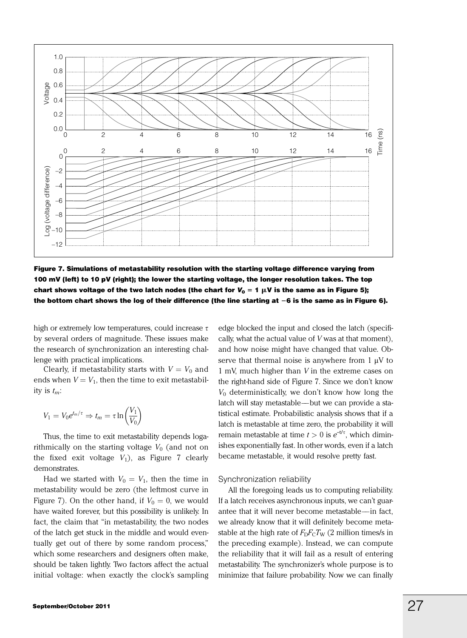

Figure 7. Simulations of metastability resolution with the starting voltage difference varying from 100 mV (left) to 10 pV (right); the lower the starting voltage, the longer resolution takes. The top chart shows voltage of the two latch nodes (the chart for  $\bm V_{\bm 0} = \bm 1$   $\bm \mu \bm V$  is the same as in Figure 5); the bottom chart shows the log of their difference (the line starting at -6 is the same as in Figure 6).

high or extremely low temperatures, could increase  $\tau$ by several orders of magnitude. These issues make the research of synchronization an interesting challenge with practical implications.

Clearly, if metastability starts with  $V = V_0$  and ends when  $V = V_1$ , then the time to exit metastability is  $t_m$ :

$$
V_1 = V_0 e^{t_m/\tau} \Rightarrow t_m = \tau \ln\left(\frac{V_1}{V_0}\right)
$$

Thus, the time to exit metastability depends logarithmically on the starting voltage  $V_0$  (and not on the fixed exit voltage  $V_1$ ), as Figure 7 clearly demonstrates.

Had we started with  $V_0 = V_1$ , then the time in metastability would be zero (the leftmost curve in Figure 7). On the other hand, if  $V_0 = 0$ , we would have waited forever, but this possibility is unlikely. In fact, the claim that ''in metastability, the two nodes of the latch get stuck in the middle and would eventually get out of there by some random process,'' which some researchers and designers often make, should be taken lightly. Two factors affect the actual initial voltage: when exactly the clock's sampling edge blocked the input and closed the latch (specifically, what the actual value of  $V$  was at that moment), and how noise might have changed that value. Observe that thermal noise is anywhere from  $1 \mu V$  to 1 mV, much higher than V in the extreme cases on the right-hand side of Figure 7. Since we don't know  $V_0$  deterministically, we don't know how long the latch will stay metastable—but we can provide a statistical estimate. Probabilistic analysis shows that if a latch is metastable at time zero, the probability it will remain metastable at time  $t>0$  is  $e^{-t/\tau}$ , which diminishes exponentially fast. In other words, even if a latch became metastable, it would resolve pretty fast.

#### Synchronization reliability

All the foregoing leads us to computing reliability. If a latch receives asynchronous inputs, we can't guarantee that it will never become metastable—in fact, we already know that it will definitely become metastable at the high rate of  $F_D F_C T_W$  (2 million times/s in the preceding example). Instead, we can compute the reliability that it will fail as a result of entering metastability. The synchronizer's whole purpose is to minimize that failure probability. Now we can finally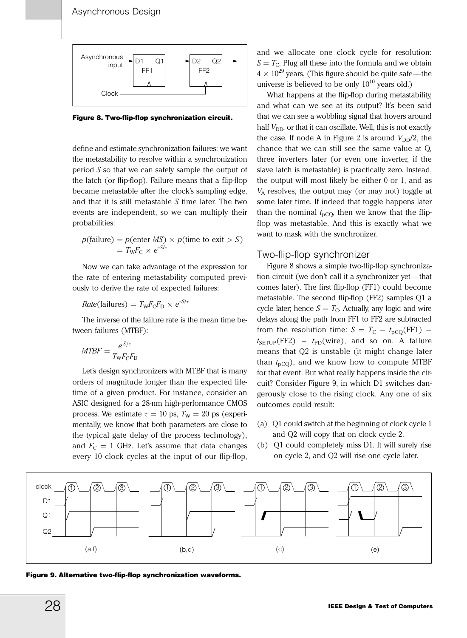

Figure 8. Two-flip-flop synchronization circuit.

define and estimate synchronization failures: we want the metastability to resolve within a synchronization period S so that we can safely sample the output of the latch (or flip-flop). Failure means that a flip-flop became metastable after the clock's sampling edge, and that it is still metastable  $S$  time later. The two events are independent, so we can multiply their probabilities:

$$
p(\text{failure}) = p(\text{enter MS}) \times p(\text{time to exit} > S)
$$

$$
= T_{\text{W}} F_{\text{C}} \times e^{-S/\tau}
$$

Now we can take advantage of the expression for the rate of entering metastability computed previously to derive the rate of expected failures:

 $Rate(\text{failures}) = T_{\text{W}}F_{\text{C}}F_{\text{D}} \times e^{-S/\tau}$ 

The inverse of the failure rate is the mean time between failures (MTBF):

$$
MTBF = \frac{e^{S/\tau}}{T_{\rm W}F_{\rm C}F_{\rm D}}
$$

Let's design synchronizers with MTBF that is many orders of magnitude longer than the expected lifetime of a given product. For instance, consider an ASIC designed for a 28-nm high-performance CMOS process. We estimate  $\tau = 10$  ps,  $T_w = 20$  ps (experimentally, we know that both parameters are close to the typical gate delay of the process technology), and  $F_C = 1$  GHz. Let's assume that data changes every 10 clock cycles at the input of our flip-flop,

and we allocate one clock cycle for resolution:  $S = T_{\rm C}$ . Plug all these into the formula and we obtain  $4\times 10^{29}$  years. (This figure should be quite safe—the universe is believed to be only  $10^{10}$  years old.)

What happens at the flip-flop during metastability, and what can we see at its output? It's been said that we can see a wobbling signal that hovers around half  $V_{\text{DD}}$ , or that it can oscillate. Well, this is not exactly the case. If node A in Figure 2 is around  $V_{DD}/2$ , the chance that we can still see the same value at Q, three inverters later (or even one inverter, if the slave latch is metastable) is practically zero. Instead, the output will most likely be either 0 or 1, and as  $V_A$  resolves, the output may (or may not) toggle at some later time. If indeed that toggle happens later than the nominal  $t_{\text{pCO}}$ , then we know that the flipflop was metastable. And this is exactly what we want to mask with the synchronizer.

## Two-flip-flop synchronizer

Figure 8 shows a simple two-flip-flop synchronization circuit (we don't call it a synchronizer yet—that comes later). The first flip-flop (FF1) could become metastable. The second flip-flop (FF2) samples Q1 a cycle later; hence  $S = T<sub>C</sub>$ . Actually, any logic and wire delays along the path from FF1 to FF2 are subtracted from the resolution time:  $S = T_{\rm C} - t_{\rm pCQ}({\rm FF1})$  –  $t_{\text{SETUP}}(\text{FF2})$  –  $t_{\text{PD}}(\text{wire})$ , and so on. A failure means that Q2 is unstable (it might change later than  $t_{\text{pCO}}$ , and we know how to compute MTBF for that event. But what really happens inside the circuit? Consider Figure 9, in which D1 switches dangerously close to the rising clock. Any one of six outcomes could result:

- (a) Q1 could switch at the beginning of clock cycle 1 and Q2 will copy that on clock cycle 2.
- (b) Q1 could completely miss D1. It will surely rise on cycle 2, and Q2 will rise one cycle later.



Figure 9. Alternative two-flip-flop synchronization waveforms.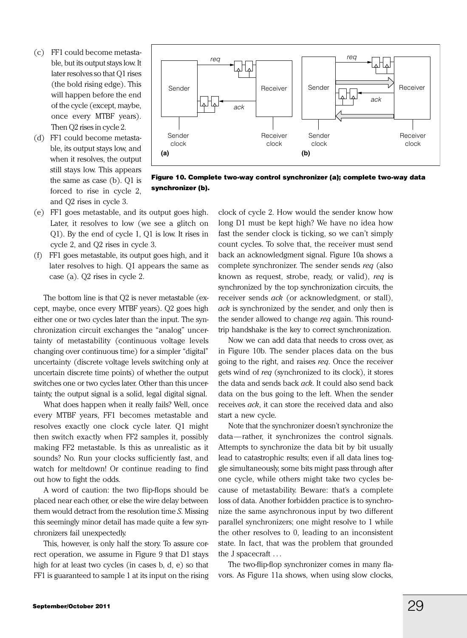- (c) FF1 could become metastable, but its output stays low. It later resolves so that Q1 rises (the bold rising edge). This will happen before the end of the cycle (except, maybe, once every MTBF years). Then Q2 rises in cycle 2.
- (d) FF1 could become metastable, its output stays low, and when it resolves, the output still stays low. This appears the same as case (b). Q1 is forced to rise in cycle 2, and Q2 rises in cycle 3.



Figure 10. Complete two-way control synchronizer (a); complete two-way data synchronizer (b).

- (e) FF1 goes metastable, and its output goes high. Later, it resolves to low (we see a glitch on Q1). By the end of cycle 1, Q1 is low. It rises in cycle 2, and Q2 rises in cycle 3.
- (f) FF1 goes metastable, its output goes high, and it later resolves to high. Q1 appears the same as case (a). Q2 rises in cycle 2.

The bottom line is that Q2 is never metastable (except, maybe, once every MTBF years). Q2 goes high either one or two cycles later than the input. The synchronization circuit exchanges the "analog" uncertainty of metastability (continuous voltage levels changing over continuous time) for a simpler "digital" uncertainty (discrete voltage levels switching only at uncertain discrete time points) of whether the output switches one or two cycles later. Other than this uncertainty, the output signal is a solid, legal digital signal.

What does happen when it really fails? Well, once every MTBF years, FF1 becomes metastable and resolves exactly one clock cycle later. Q1 might then switch exactly when FF2 samples it, possibly making FF2 metastable. Is this as unrealistic as it sounds? No. Run your clocks sufficiently fast, and watch for meltdown! Or continue reading to find out how to fight the odds.

A word of caution: the two flip-flops should be placed near each other, or else the wire delay between them would detract from the resolution time S. Missing this seemingly minor detail has made quite a few synchronizers fail unexpectedly.

This, however, is only half the story. To assure correct operation, we assume in Figure 9 that D1 stays high for at least two cycles (in cases b, d, e) so that FF1 is guaranteed to sample 1 at its input on the rising clock of cycle 2. How would the sender know how long D1 must be kept high? We have no idea how fast the sender clock is ticking, so we can't simply count cycles. To solve that, the receiver must send back an acknowledgment signal. Figure 10a shows a complete synchronizer. The sender sends req (also known as request, strobe, ready, or valid), req is synchronized by the top synchronization circuits, the receiver sends *ack* (or acknowledgment, or stall), ack is synchronized by the sender, and only then is the sender allowed to change req again. This roundtrip handshake is the key to correct synchronization.

Now we can add data that needs to cross over, as in Figure 10b. The sender places data on the bus going to the right, and raises req. Once the receiver gets wind of req (synchronized to its clock), it stores the data and sends back ack. It could also send back data on the bus going to the left. When the sender receives ack, it can store the received data and also start a new cycle.

Note that the synchronizer doesn't synchronize the data—rather, it synchronizes the control signals. Attempts to synchronize the data bit by bit usually lead to catastrophic results; even if all data lines toggle simultaneously, some bits might pass through after one cycle, while others might take two cycles because of metastability. Beware: that's a complete loss of data. Another forbidden practice is to synchronize the same asynchronous input by two different parallel synchronizers; one might resolve to 1 while the other resolves to 0, leading to an inconsistent state. In fact, that was the problem that grounded the J spacecraft ...

The two-flip-flop synchronizer comes in many flavors. As Figure 11a shows, when using slow clocks,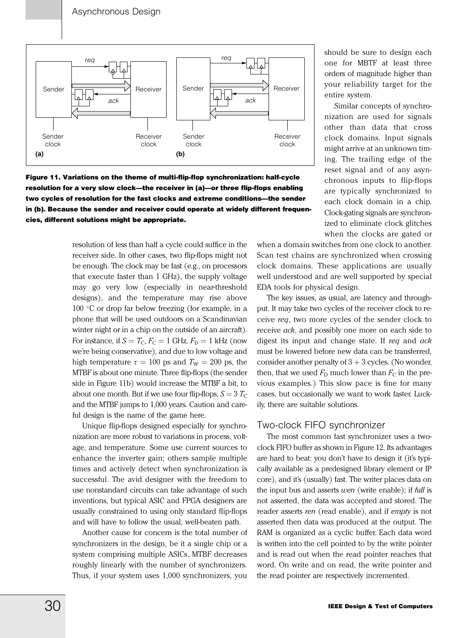

Figure 11. Variations on the theme of multi-flip-flop synchronization: half-cycle resolution for a very slow clock—the receiver in (a)—or three flip-flops enabling two cycles of resolution for the fast clocks and extreme conditions—the sender in (b). Because the sender and receiver could operate at widely different frequencies, different solutions might be appropriate.

resolution of less than half a cycle could suffice in the receiver side. In other cases, two flip-flops might not be enough. The clock may be fast (e.g., on processors that execute faster than 1 GHz), the supply voltage may go very low (especially in near-threshold designs), and the temperature may rise above 100 °C or drop far below freezing (for example, in a phone that will be used outdoors on a Scandinavian winter night or in a chip on the outside of an aircraft). For instance, if  $S = T_{\rm C}$ ,  $F_{\rm C} = 1$  GHz,  $F_{\rm D} = 1$  kHz (now we're being conservative), and due to low voltage and high temperature  $\tau = 100$  ps and  $T_W = 200$  ps, the MTBF is about one minute. Three flip-flops (the sender side in Figure 11b) would increase the MTBF a bit, to about one month. But if we use four flip-flops,  $S = 3 T_C$ and the MTBF jumps to 1,000 years. Caution and careful design is the name of the game here.

Unique flip-flops designed especially for synchronization are more robust to variations in process, voltage, and temperature. Some use current sources to enhance the inverter gain; others sample multiple times and actively detect when synchronization is successful. The avid designer with the freedom to use nonstandard circuits can take advantage of such inventions, but typical ASIC and FPGA designers are usually constrained to using only standard flip-flops and will have to follow the usual, well-beaten path.

Another cause for concern is the total number of synchronizers in the design, be it a single chip or a system comprising multiple ASICs. MTBF decreases roughly linearly with the number of synchronizers. Thus, if your system uses 1,000 synchronizers, you should be sure to design each one for MBTF at least three orders of magnitude higher than your reliability target for the entire system.

Similar concepts of synchronization are used for signals other than data that cross clock domains. Input signals might arrive at an unknown timing. The trailing edge of the reset signal and of any asynchronous inputs to flip-flops are typically synchronized to each clock domain in a chip. Clock-gating signals are synchronized to eliminate clock glitches when the clocks are gated or

when a domain switches from one clock to another. Scan test chains are synchronized when crossing clock domains. These applications are usually well understood and are well supported by special EDA tools for physical design.

The key issues, as usual, are latency and throughput. It may take two cycles of the receiver clock to receive req, two more cycles of the sender clock to receive ack, and possibly one more on each side to digest its input and change state. If req and ack must be lowered before new data can be transferred, consider another penalty of  $3 + 3$  cycles. (No wonder, then, that we used  $F<sub>D</sub>$  much lower than  $F<sub>C</sub>$  in the previous examples.) This slow pace is fine for many cases, but occasionally we want to work faster. Luckily, there are suitable solutions.

## Two-clock FIFO synchronizer

The most common fast synchronizer uses a twoclock FIFO buffer as shown in Figure 12. Its advantages are hard to beat: you don't have to design it (it's typically available as a predesigned library element or IP core), and it's (usually) fast. The writer places data on the input bus and asserts wen (write enable); if full is not asserted, the data was accepted and stored. The reader asserts ren (read enable), and if empty is not asserted then data was produced at the output. The RAM is organized as a cyclic buffer. Each data word is written into the cell pointed to by the write pointer and is read out when the read pointer reaches that word. On write and on read, the write pointer and the read pointer are respectively incremented.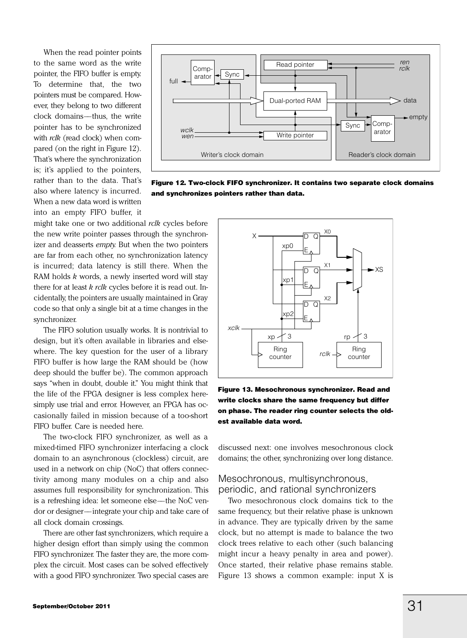When the read pointer points to the same word as the write pointer, the FIFO buffer is empty. To determine that, the two pointers must be compared. However, they belong to two different clock domains—thus, the write pointer has to be synchronized with *rclk* (read clock) when compared (on the right in Figure 12). That's where the synchronization is; it's applied to the pointers, rather than to the data. That's also where latency is incurred. When a new data word is written into an empty FIFO buffer, it



Figure 12. Two-clock FIFO synchronizer. It contains two separate clock domains and synchronizes pointers rather than data.

might take one or two additional rclk cycles before the new write pointer passes through the synchronizer and deasserts *empty*. But when the two pointers are far from each other, no synchronization latency is incurred; data latency is still there. When the RAM holds  $k$  words, a newly inserted word will stay there for at least k rclk cycles before it is read out. Incidentally, the pointers are usually maintained in Gray code so that only a single bit at a time changes in the synchronizer.

The FIFO solution usually works. It is nontrivial to design, but it's often available in libraries and elsewhere. The key question for the user of a library FIFO buffer is how large the RAM should be (how deep should the buffer be). The common approach says "when in doubt, double it." You might think that the life of the FPGA designer is less complex heresimply use trial and error. However, an FPGA has occasionally failed in mission because of a too-short FIFO buffer. Care is needed here.

The two-clock FIFO synchronizer, as well as a mixed-timed FIFO synchronizer interfacing a clock domain to an asynchronous (clockless) circuit, are used in a network on chip (NoC) that offers connectivity among many modules on a chip and also assumes full responsibility for synchronization. This is a refreshing idea: let someone else—the NoC vendor or designer--integrate your chip and take care of all clock domain crossings.

There are other fast synchronizers, which require a higher design effort than simply using the common FIFO synchronizer. The faster they are, the more complex the circuit. Most cases can be solved effectively with a good FIFO synchronizer. Two special cases are



Figure 13. Mesochronous synchronizer. Read and write clocks share the same frequency but differ on phase. The reader ring counter selects the oldest available data word.

discussed next: one involves mesochronous clock domains; the other, synchronizing over long distance.

# Mesochronous, multisynchronous, periodic, and rational synchronizers

Two mesochronous clock domains tick to the same frequency, but their relative phase is unknown in advance. They are typically driven by the same clock, but no attempt is made to balance the two clock trees relative to each other (such balancing might incur a heavy penalty in area and power). Once started, their relative phase remains stable. Figure 13 shows a common example: input X is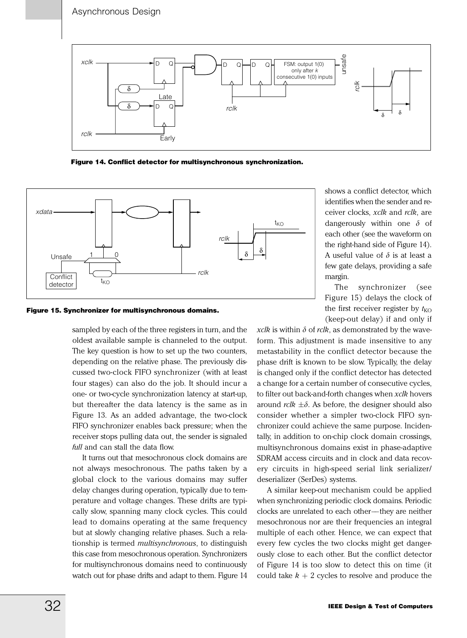

Figure 14. Conflict detector for multisynchronous synchronization.



Figure 15. Synchronizer for multisynchronous domains.

sampled by each of the three registers in turn, and the oldest available sample is channeled to the output. The key question is how to set up the two counters, depending on the relative phase. The previously discussed two-clock FIFO synchronizer (with at least four stages) can also do the job. It should incur a one- or two-cycle synchronization latency at start-up, but thereafter the data latency is the same as in Figure 13. As an added advantage, the two-clock FIFO synchronizer enables back pressure; when the receiver stops pulling data out, the sender is signaled full and can stall the data flow.

It turns out that mesochronous clock domains are not always mesochronous. The paths taken by a global clock to the various domains may suffer delay changes during operation, typically due to temperature and voltage changes. These drifts are typically slow, spanning many clock cycles. This could lead to domains operating at the same frequency but at slowly changing relative phases. Such a relationship is termed multisynchronous, to distinguish this case from mesochronous operation. Synchronizers for multisynchronous domains need to continuously watch out for phase drifts and adapt to them. Figure 14

shows a conflict detector, which identifies when the sender and receiver clocks, xclk and rclk, are dangerously within one  $\delta$  of each other (see the waveform on the right-hand side of Figure 14). A useful value of  $\delta$  is at least a few gate delays, providing a safe margin.

The synchronizer (see Figure 15) delays the clock of the first receiver register by  $t_{\text{KO}}$ (keep-out delay) if and only if

xclk is within  $\delta$  of rclk, as demonstrated by the waveform. This adjustment is made insensitive to any metastability in the conflict detector because the phase drift is known to be slow. Typically, the delay is changed only if the conflict detector has detected a change for a certain number of consecutive cycles, to filter out back-and-forth changes when xclk hovers around *rclk*  $\pm \delta$ . As before, the designer should also consider whether a simpler two-clock FIFO synchronizer could achieve the same purpose. Incidentally, in addition to on-chip clock domain crossings, multisynchronous domains exist in phase-adaptive SDRAM access circuits and in clock and data recovery circuits in high-speed serial link serializer/ deserializer (SerDes) systems.

A similar keep-out mechanism could be applied when synchronizing periodic clock domains. Periodic clocks are unrelated to each other—they are neither mesochronous nor are their frequencies an integral multiple of each other. Hence, we can expect that every few cycles the two clocks might get dangerously close to each other. But the conflict detector of Figure 14 is too slow to detect this on time (it could take  $k + 2$  cycles to resolve and produce the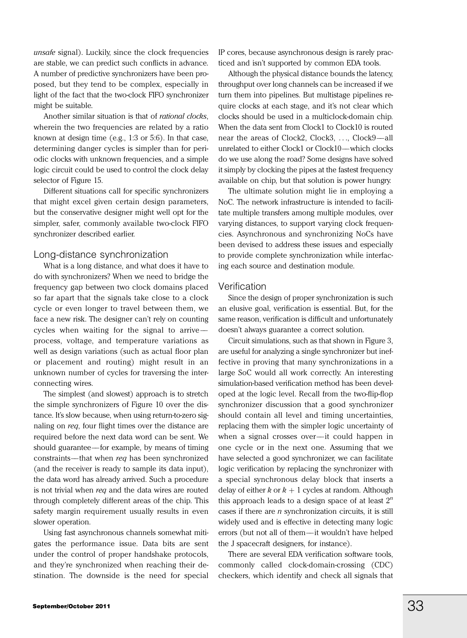unsafe signal). Luckily, since the clock frequencies are stable, we can predict such conflicts in advance. A number of predictive synchronizers have been proposed, but they tend to be complex, especially in light of the fact that the two-clock FIFO synchronizer might be suitable.

Another similar situation is that of rational clocks, wherein the two frequencies are related by a ratio known at design time (e.g., 1:3 or 5:6). In that case, determining danger cycles is simpler than for periodic clocks with unknown frequencies, and a simple logic circuit could be used to control the clock delay selector of Figure 15.

Different situations call for specific synchronizers that might excel given certain design parameters, but the conservative designer might well opt for the simpler, safer, commonly available two-clock FIFO synchronizer described earlier.

#### Long-distance synchronization

What is a long distance, and what does it have to do with synchronizers? When we need to bridge the frequency gap between two clock domains placed so far apart that the signals take close to a clock cycle or even longer to travel between them, we face a new risk. The designer can't rely on counting cycles when waiting for the signal to arrive $$ process, voltage, and temperature variations as well as design variations (such as actual floor plan or placement and routing) might result in an unknown number of cycles for traversing the interconnecting wires.

The simplest (and slowest) approach is to stretch the simple synchronizers of Figure 10 over the distance. It's slow because, when using return-to-zero signaling on req, four flight times over the distance are required before the next data word can be sent. We should guarantee—for example, by means of timing constraints—that when req has been synchronized (and the receiver is ready to sample its data input), the data word has already arrived. Such a procedure is not trivial when req and the data wires are routed through completely different areas of the chip. This safety margin requirement usually results in even slower operation.

Using fast asynchronous channels somewhat mitigates the performance issue. Data bits are sent under the control of proper handshake protocols, and they're synchronized when reaching their destination. The downside is the need for special

IP cores, because asynchronous design is rarely practiced and isn't supported by common EDA tools.

Although the physical distance bounds the latency, throughput over long channels can be increased if we turn them into pipelines. But multistage pipelines require clocks at each stage, and it's not clear which clocks should be used in a multiclock-domain chip. When the data sent from Clock1 to Clock10 is routed near the areas of Clock2, Clock3, ..., Clock9—all unrelated to either Clock1 or Clock10-which clocks do we use along the road? Some designs have solved it simply by clocking the pipes at the fastest frequency available on chip, but that solution is power hungry.

The ultimate solution might lie in employing a NoC. The network infrastructure is intended to facilitate multiple transfers among multiple modules, over varying distances, to support varying clock frequencies. Asynchronous and synchronizing NoCs have been devised to address these issues and especially to provide complete synchronization while interfacing each source and destination module.

#### Verification

Since the design of proper synchronization is such an elusive goal, verification is essential. But, for the same reason, verification is difficult and unfortunately doesn't always guarantee a correct solution.

Circuit simulations, such as that shown in Figure 3, are useful for analyzing a single synchronizer but ineffective in proving that many synchronizations in a large SoC would all work correctly. An interesting simulation-based verification method has been developed at the logic level. Recall from the two-flip-flop synchronizer discussion that a good synchronizer should contain all level and timing uncertainties, replacing them with the simpler logic uncertainty of when a signal crosses over—it could happen in one cycle or in the next one. Assuming that we have selected a good synchronizer, we can facilitate logic verification by replacing the synchronizer with a special synchronous delay block that inserts a delay of either  $k$  or  $k + 1$  cycles at random. Although this approach leads to a design space of at least  $2^n$ cases if there are  $n$  synchronization circuits, it is still widely used and is effective in detecting many logic errors (but not all of them—it wouldn't have helped the J spacecraft designers, for instance).

There are several EDA verification software tools, commonly called clock-domain-crossing (CDC) checkers, which identify and check all signals that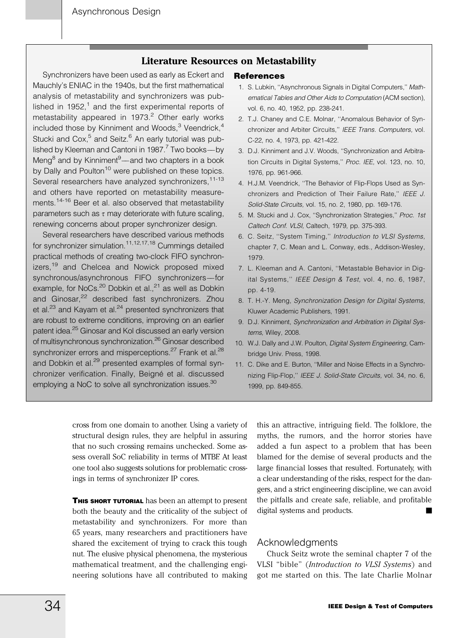# Literature Resources on Metastability

Synchronizers have been used as early as Eckert and Mauchly's ENIAC in the 1940s, but the first mathematical analysis of metastability and synchronizers was published in  $1952$ ,<sup>1</sup> and the first experimental reports of metastability appeared in  $1973.<sup>2</sup>$  Other early works included those by Kinniment and Woods, $3$  Veendrick, $4$ Stucki and  $Cox$ ,<sup>5</sup> and Seitz. $6$  An early tutorial was published by Kleeman and Cantoni in 1987.<sup>7</sup> Two books-by Meng<sup>8</sup> and by Kinniment<sup>9</sup>—and two chapters in a book by Dally and Poulton<sup>10</sup> were published on these topics. Several researchers have analyzed synchronizers,<sup>11-13</sup> and others have reported on metastability measurements.<sup>14-16</sup> Beer et al. also observed that metastability parameters such as  $\tau$  may deteriorate with future scaling, renewing concerns about proper synchronizer design.

Several researchers have described various methods for synchronizer simulation.<sup>11,12,17,18</sup> Cummings detailed practical methods of creating two-clock FIFO synchronizers,<sup>19</sup> and Chelcea and Nowick proposed mixed synchronous/asynchronous FIFO synchronizers-for example, for NoCs. $^{20}$  Dobkin et al.,<sup>21</sup> as well as Dobkin and Ginosar,<sup>22</sup> described fast synchronizers. Zhou et al. $^{23}$  and Kayam et al. $^{24}$  presented synchronizers that are robust to extreme conditions, improving on an earlier patent idea.<sup>25</sup> Ginosar and Kol discussed an early version of multisynchronous synchronization.<sup>26</sup> Ginosar described synchronizer errors and misperceptions.<sup>27</sup> Frank et al.<sup>28</sup> and Dobkin et al.<sup>29</sup> presented examples of formal synchronizer verification. Finally, Beigné et al. discussed employing a NoC to solve all synchronization issues.<sup>30</sup>

#### **References**

- 1. S. Lubkin, "Asynchronous Signals in Digital Computers," Mathematical Tables and Other Aids to Computation (ACM section), vol. 6, no. 40, 1952, pp. 238-241.
- 2. T.J. Chaney and C.E. Molnar, ''Anomalous Behavior of Synchronizer and Arbiter Circuits," IEEE Trans. Computers, vol. C-22, no. 4, 1973, pp. 421-422.
- 3. D.J. Kinniment and J.V. Woods, ''Synchronization and Arbitration Circuits in Digital Systems,'' Proc. IEE, vol. 123, no. 10, 1976, pp. 961-966.
- 4. H.J.M. Veendrick, ''The Behavior of Flip-Flops Used as Synchronizers and Prediction of Their Failure Rate," IEEE J. Solid-State Circuits, vol. 15, no. 2, 1980, pp. 169-176.
- 5. M. Stucki and J. Cox, ''Synchronization Strategies,'' Proc. 1st Caltech Conf. VLSI, Caltech, 1979, pp. 375-393.
- 6. C. Seitz, ''System Timing,'' Introduction to VLSI Systems, chapter 7, C. Mean and L. Conway, eds., Addison-Wesley, 1979.
- 7. L. Kleeman and A. Cantoni, ''Metastable Behavior in Digital Systems,'' IEEE Design & Test, vol. 4, no. 6, 1987, pp. 4-19.
- 8. T. H.-Y. Meng, Synchronization Design for Digital Systems, Kluwer Academic Publishers, 1991.
- 9. D.J. Kinniment, Synchronization and Arbitration in Digital Systems, Wiley, 2008.
- 10. W.J. Dally and J.W. Poulton, Digital System Engineering, Cambridge Univ. Press, 1998.
- 11. C. Dike and E. Burton, ''Miller and Noise Effects in a Synchronizing Flip-Flop," IEEE J. Solid-State Circuits, vol. 34, no. 6, 1999, pp. 849-855.

cross from one domain to another. Using a variety of structural design rules, they are helpful in assuring that no such crossing remains unchecked. Some assess overall SoC reliability in terms of MTBF. At least one tool also suggests solutions for problematic crossings in terms of synchronizer IP cores.

THIS SHORT TUTORIAL has been an attempt to present both the beauty and the criticality of the subject of metastability and synchronizers. For more than 65 years, many researchers and practitioners have shared the excitement of trying to crack this tough nut. The elusive physical phenomena, the mysterious mathematical treatment, and the challenging engineering solutions have all contributed to making

this an attractive, intriguing field. The folklore, the myths, the rumors, and the horror stories have added a fun aspect to a problem that has been blamed for the demise of several products and the large financial losses that resulted. Fortunately, with a clear understanding of the risks, respect for the dangers, and a strict engineering discipline, we can avoid the pitfalls and create safe, reliable, and profitable digital systems and products.

## Acknowledgments

Chuck Seitz wrote the seminal chapter 7 of the VLSI "bible" (Introduction to VLSI Systems) and got me started on this. The late Charlie Molnar